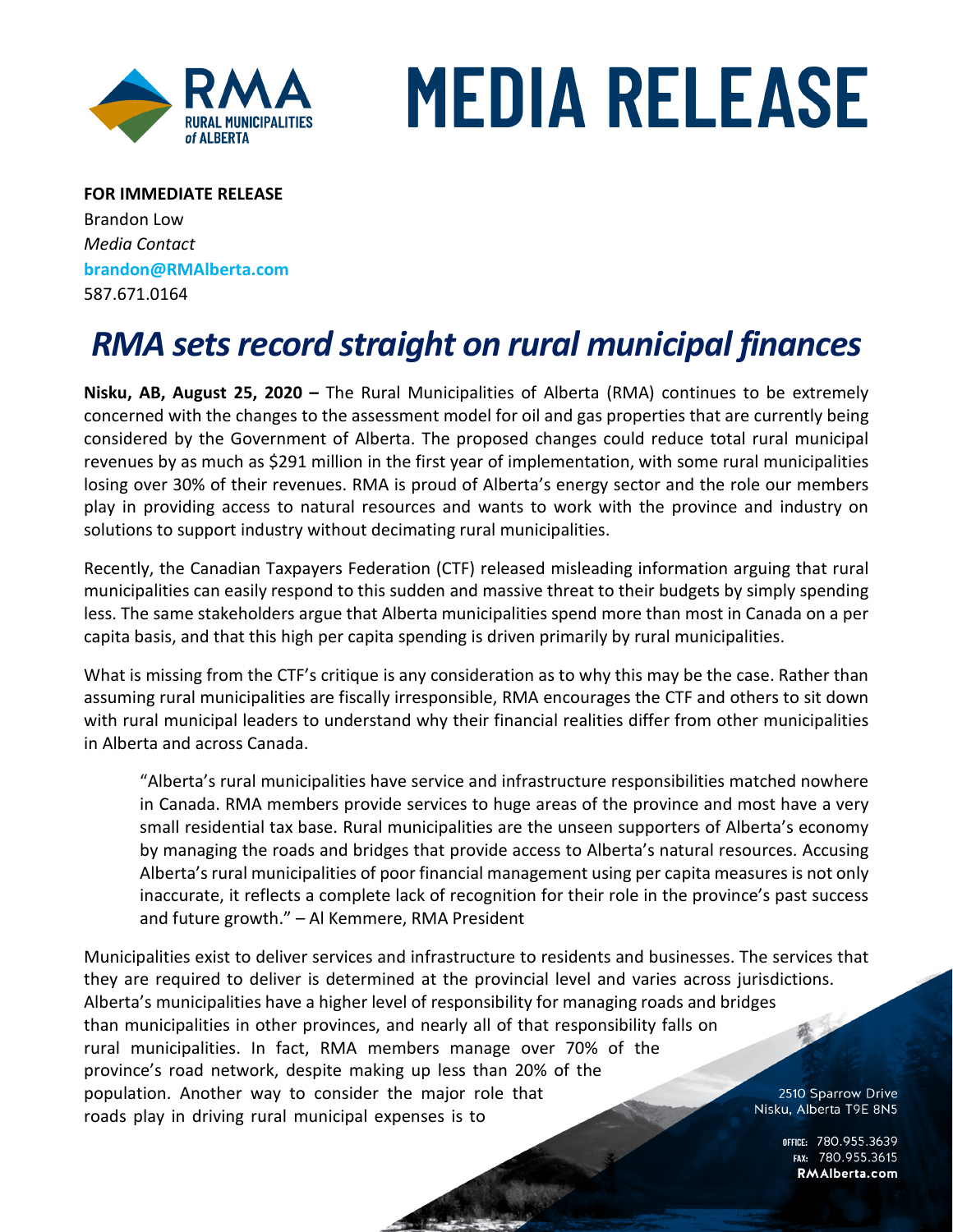

## **MEDIA RELEASE**

**FOR IMMEDIATE RELEASE** Brandon Low *Media Contact* **brandon@RMAlberta.com** 587.671.0164

## *RMA sets record straight on rural municipal finances*

**Nisku, AB, August 25, 2020 –** The Rural Municipalities of Alberta (RMA) continues to be extremely concerned with the changes to the assessment model for oil and gas properties that are currently being considered by the Government of Alberta. The proposed changes could reduce total rural municipal revenues by as much as \$291 million in the first year of implementation, with some rural municipalities losing over 30% of their revenues. RMA is proud of Alberta's energy sector and the role our members play in providing access to natural resources and wants to work with the province and industry on solutions to support industry without decimating rural municipalities.

Recently, the Canadian Taxpayers Federation (CTF) released misleading information arguing that rural municipalities can easily respond to this sudden and massive threat to their budgets by simply spending less. The same stakeholders argue that Alberta municipalities spend more than most in Canada on a per capita basis, and that this high per capita spending is driven primarily by rural municipalities.

What is missing from the CTF's critique is any consideration as to why this may be the case. Rather than assuming rural municipalities are fiscally irresponsible, RMA encourages the CTF and others to sit down with rural municipal leaders to understand why their financial realities differ from other municipalities in Alberta and across Canada.

"Alberta's rural municipalities have service and infrastructure responsibilities matched nowhere in Canada. RMA members provide services to huge areas of the province and most have a very small residential tax base. Rural municipalities are the unseen supporters of Alberta's economy by managing the roads and bridges that provide access to Alberta's natural resources. Accusing Alberta's rural municipalities of poor financial management using per capita measures is not only inaccurate, it reflects a complete lack of recognition for their role in the province's past success and future growth." – Al Kemmere, RMA President

Municipalities exist to deliver services and infrastructure to residents and businesses. The services that they are required to deliver is determined at the provincial level and varies across jurisdictions. Alberta's municipalities have a higher level of responsibility for managing roads and bridges than municipalities in other provinces, and nearly all of that responsibility falls on rural municipalities. In fact, RMA members manage over 70% of the province's road network, despite making up less than 20% of the population. Another way to consider the major role that 2510 Sparrow Drive Nisku, Alberta T9E 8N5 roads play in driving rural municipal expenses is to

> OFFICE: 780.955.3639<br>15.780.955.3615 RMAlberta.com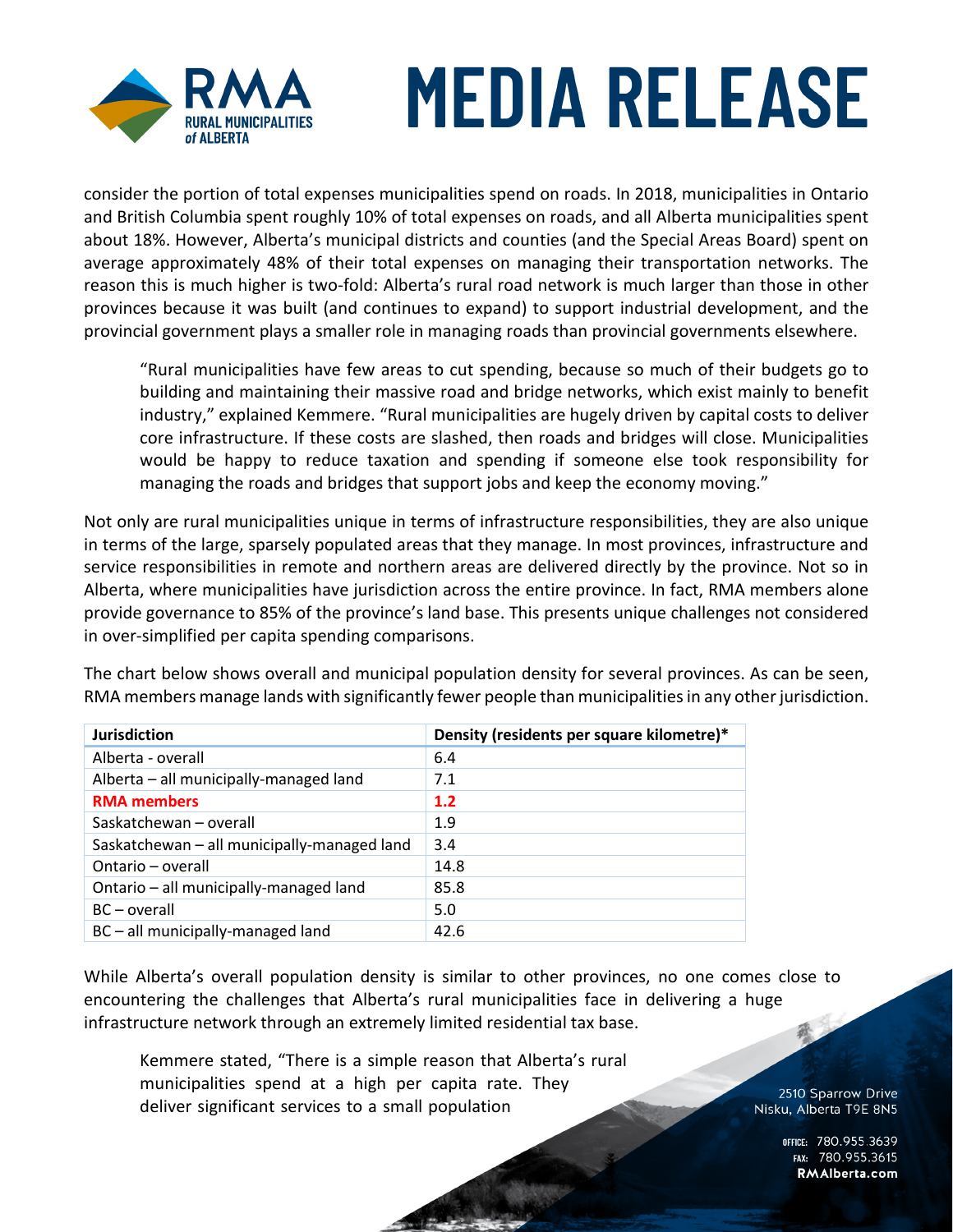

## **MEDIA RELEASE**

consider the portion of total expenses municipalities spend on roads. In 2018, municipalities in Ontario and British Columbia spent roughly 10% of total expenses on roads, and all Alberta municipalities spent about 18%. However, Alberta's municipal districts and counties (and the Special Areas Board) spent on average approximately 48% of their total expenses on managing their transportation networks. The reason this is much higher is two-fold: Alberta's rural road network is much larger than those in other provinces because it was built (and continues to expand) to support industrial development, and the provincial government plays a smaller role in managing roads than provincial governments elsewhere.

"Rural municipalities have few areas to cut spending, because so much of their budgets go to building and maintaining their massive road and bridge networks, which exist mainly to benefit industry," explained Kemmere. "Rural municipalities are hugely driven by capital costs to deliver core infrastructure. If these costs are slashed, then roads and bridges will close. Municipalities would be happy to reduce taxation and spending if someone else took responsibility for managing the roads and bridges that support jobs and keep the economy moving."

Not only are rural municipalities unique in terms of infrastructure responsibilities, they are also unique in terms of the large, sparsely populated areas that they manage. In most provinces, infrastructure and service responsibilities in remote and northern areas are delivered directly by the province. Not so in Alberta, where municipalities have jurisdiction across the entire province. In fact, RMA members alone provide governance to 85% of the province's land base. This presents unique challenges not considered in over-simplified per capita spending comparisons.

The chart below shows overall and municipal population density for several provinces. As can be seen, RMA members manage lands with significantly fewer people than municipalities in any other jurisdiction.

| <b>Jurisdiction</b>                         | Density (residents per square kilometre)* |
|---------------------------------------------|-------------------------------------------|
| Alberta - overall                           | 6.4                                       |
| Alberta - all municipally-managed land      | 7.1                                       |
| <b>RMA</b> members                          | 1.2                                       |
| Saskatchewan - overall                      | 1.9                                       |
| Saskatchewan - all municipally-managed land | 3.4                                       |
| Ontario - overall                           | 14.8                                      |
| Ontario - all municipally-managed land      | 85.8                                      |
| $BC - overall$                              | 5.0                                       |
| BC-all municipally-managed land             | 42.6                                      |

While Alberta's overall population density is similar to other provinces, no one comes close to encountering the challenges that Alberta's rural municipalities face in delivering a huge infrastructure network through an extremely limited residential tax base.

Kemmere stated, "There is a simple reason that Alberta's rural municipalities spend at a high per capita rate. They deliver significant services to a small population

2510 Sparrow Drive Nisku, Alberta T9E 8N5

> OFFICE: 780.955.3639<br>226.780.955.3615 RMAlberta.com